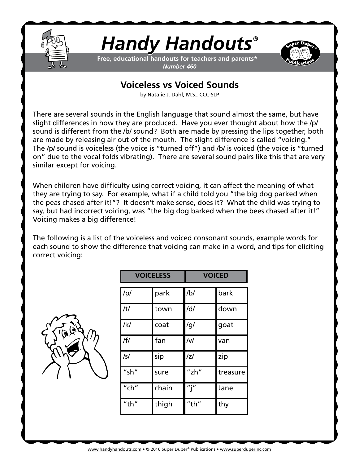

## *Handy Handouts®*

**Free, educational handouts for teachers and parents\*** *Number 460*



## **Voiceless vs Voiced Sounds**

by Natalie J. Dahl, M.S., CCC-SLP

There are several sounds in the English language that sound almost the same, but have slight differences in how they are produced. Have you ever thought about how the /p/ sound is different from the /b/ sound? Both are made by pressing the lips together, both are made by releasing air out of the mouth. The slight difference is called "voicing." The /p/ sound is voiceless (the voice is "turned off") and /b/ is voiced (the voice is "turned on" due to the vocal folds vibrating). There are several sound pairs like this that are very similar except for voicing.

When children have difficulty using correct voicing, it can affect the meaning of what they are trying to say. For example, what if a child told you "the big dog parked when the peas chased after it!"? It doesn't make sense, does it? What the child was trying to say, but had incorrect voicing, was "the big dog barked when the bees chased after it!" Voicing makes a big difference!

The following is a list of the voiceless and voiced consonant sounds, example words for each sound to show the difference that voicing can make in a word, and tips for eliciting correct voicing:



| <b>VOICELESS</b> |       | <b>VOICED</b>                         |          |
|------------------|-------|---------------------------------------|----------|
| /p/              | park  | /b/                                   | bark     |
| /t/              | town  | /d/                                   | down     |
| /k/              | coat  | /g/                                   | goat     |
| / f /            | fan   | $\mathcal{N}$                         | van      |
| $\sqrt{s}$       | sip   | /z/                                   | zip      |
| "sh"             | sure  | "zh"                                  | treasure |
| $"$ ch"          | chain | $^{\prime\prime}$ i $^{\prime\prime}$ | Jane     |
| "th"             | thigh | "th"                                  | thy      |